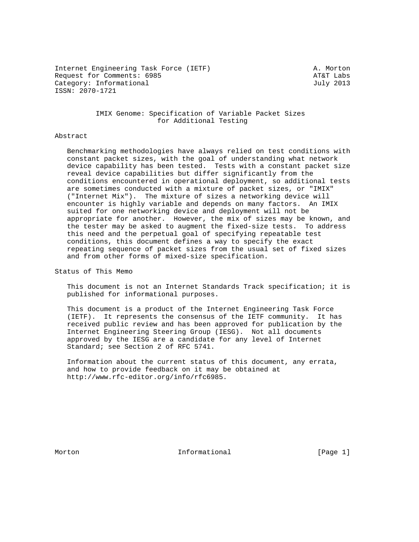Internet Engineering Task Force (IETF) A. Morton Request for Comments: 6985 AT&T Labs Category: Informational distribution of the United Stategory: July 2013 ISSN: 2070-1721

 IMIX Genome: Specification of Variable Packet Sizes for Additional Testing

### Abstract

 Benchmarking methodologies have always relied on test conditions with constant packet sizes, with the goal of understanding what network device capability has been tested. Tests with a constant packet size reveal device capabilities but differ significantly from the conditions encountered in operational deployment, so additional tests are sometimes conducted with a mixture of packet sizes, or "IMIX" ("Internet Mix"). The mixture of sizes a networking device will encounter is highly variable and depends on many factors. An IMIX suited for one networking device and deployment will not be appropriate for another. However, the mix of sizes may be known, and the tester may be asked to augment the fixed-size tests. To address this need and the perpetual goal of specifying repeatable test conditions, this document defines a way to specify the exact repeating sequence of packet sizes from the usual set of fixed sizes and from other forms of mixed-size specification.

Status of This Memo

 This document is not an Internet Standards Track specification; it is published for informational purposes.

 This document is a product of the Internet Engineering Task Force (IETF). It represents the consensus of the IETF community. It has received public review and has been approved for publication by the Internet Engineering Steering Group (IESG). Not all documents approved by the IESG are a candidate for any level of Internet Standard; see Section 2 of RFC 5741.

 Information about the current status of this document, any errata, and how to provide feedback on it may be obtained at http://www.rfc-editor.org/info/rfc6985.

Morton **Informational Informational** [Page 1]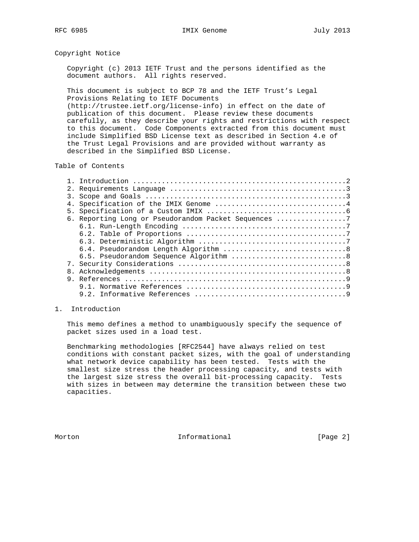### Copyright Notice

 Copyright (c) 2013 IETF Trust and the persons identified as the document authors. All rights reserved.

 This document is subject to BCP 78 and the IETF Trust's Legal Provisions Relating to IETF Documents (http://trustee.ietf.org/license-info) in effect on the date of publication of this document. Please review these documents carefully, as they describe your rights and restrictions with respect to this document. Code Components extracted from this document must include Simplified BSD License text as described in Section 4.e of the Trust Legal Provisions and are provided without warranty as

### Table of Contents

described in the Simplified BSD License.

| 2. |                                                      |  |
|----|------------------------------------------------------|--|
| 3. |                                                      |  |
|    |                                                      |  |
|    |                                                      |  |
|    | 6. Reporting Long or Pseudorandom Packet Sequences 7 |  |
|    |                                                      |  |
|    |                                                      |  |
|    |                                                      |  |
|    |                                                      |  |
|    |                                                      |  |
|    |                                                      |  |
|    |                                                      |  |
|    |                                                      |  |
|    |                                                      |  |
|    |                                                      |  |
|    |                                                      |  |

### 1. Introduction

 This memo defines a method to unambiguously specify the sequence of packet sizes used in a load test.

 Benchmarking methodologies [RFC2544] have always relied on test conditions with constant packet sizes, with the goal of understanding what network device capability has been tested. Tests with the smallest size stress the header processing capacity, and tests with the largest size stress the overall bit-processing capacity. Tests with sizes in between may determine the transition between these two capacities.

Morton **Informational Informational** [Page 2]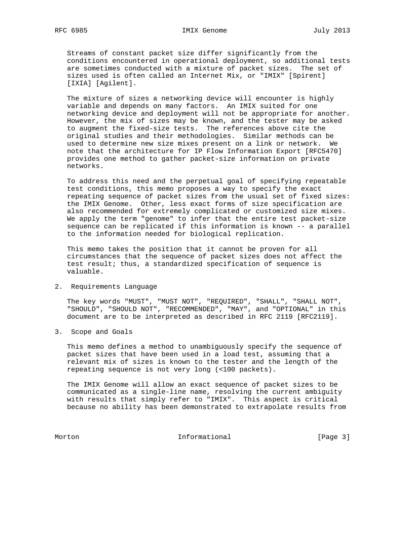Streams of constant packet size differ significantly from the conditions encountered in operational deployment, so additional tests are sometimes conducted with a mixture of packet sizes. The set of sizes used is often called an Internet Mix, or "IMIX" [Spirent] [IXIA] [Agilent].

 The mixture of sizes a networking device will encounter is highly variable and depends on many factors. An IMIX suited for one networking device and deployment will not be appropriate for another. However, the mix of sizes may be known, and the tester may be asked to augment the fixed-size tests. The references above cite the original studies and their methodologies. Similar methods can be used to determine new size mixes present on a link or network. We note that the architecture for IP Flow Information Export [RFC5470] provides one method to gather packet-size information on private networks.

 To address this need and the perpetual goal of specifying repeatable test conditions, this memo proposes a way to specify the exact repeating sequence of packet sizes from the usual set of fixed sizes: the IMIX Genome. Other, less exact forms of size specification are also recommended for extremely complicated or customized size mixes. We apply the term "genome" to infer that the entire test packet-size sequence can be replicated if this information is known -- a parallel to the information needed for biological replication.

 This memo takes the position that it cannot be proven for all circumstances that the sequence of packet sizes does not affect the test result; thus, a standardized specification of sequence is valuable.

2. Requirements Language

 The key words "MUST", "MUST NOT", "REQUIRED", "SHALL", "SHALL NOT", "SHOULD", "SHOULD NOT", "RECOMMENDED", "MAY", and "OPTIONAL" in this document are to be interpreted as described in RFC 2119 [RFC2119].

3. Scope and Goals

 This memo defines a method to unambiguously specify the sequence of packet sizes that have been used in a load test, assuming that a relevant mix of sizes is known to the tester and the length of the repeating sequence is not very long (<100 packets).

 The IMIX Genome will allow an exact sequence of packet sizes to be communicated as a single-line name, resolving the current ambiguity with results that simply refer to "IMIX". This aspect is critical because no ability has been demonstrated to extrapolate results from

Morton 1nformational [Page 3]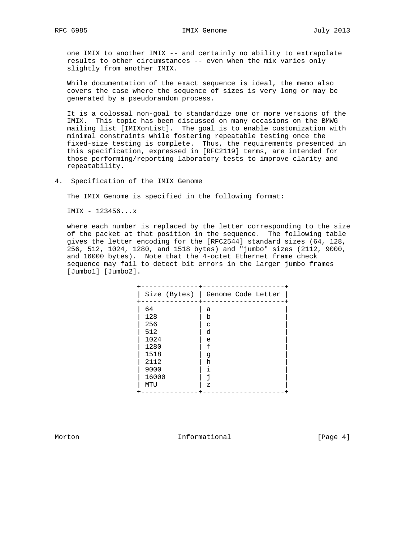one IMIX to another IMIX -- and certainly no ability to extrapolate results to other circumstances -- even when the mix varies only slightly from another IMIX.

 While documentation of the exact sequence is ideal, the memo also covers the case where the sequence of sizes is very long or may be generated by a pseudorandom process.

 It is a colossal non-goal to standardize one or more versions of the IMIX. This topic has been discussed on many occasions on the BMWG mailing list [IMIXonList]. The goal is to enable customization with minimal constraints while fostering repeatable testing once the fixed-size testing is complete. Thus, the requirements presented in this specification, expressed in [RFC2119] terms, are intended for those performing/reporting laboratory tests to improve clarity and repeatability.

4. Specification of the IMIX Genome

The IMIX Genome is specified in the following format:

IMIX - 123456...x

 where each number is replaced by the letter corresponding to the size of the packet at that position in the sequence. The following table gives the letter encoding for the [RFC2544] standard sizes (64, 128, 256, 512, 1024, 1280, and 1518 bytes) and "jumbo" sizes (2112, 9000, and 16000 bytes). Note that the 4-octet Ethernet frame check sequence may fail to detect bit errors in the larger jumbo frames [Jumbo1] [Jumbo2].

|       | Size (Bytes)   Genome Code Letter |
|-------|-----------------------------------|
| 64    | a                                 |
| 128   | b                                 |
| 256   | C                                 |
| 512   | d                                 |
| 1024  | e                                 |
| 1280  | f                                 |
| 1518  | g                                 |
| 2112  | h                                 |
| 9000  | f.                                |
| 16000 | ٦                                 |
| MTU   | Ζ                                 |

Morton **Informational Informational** [Page 4]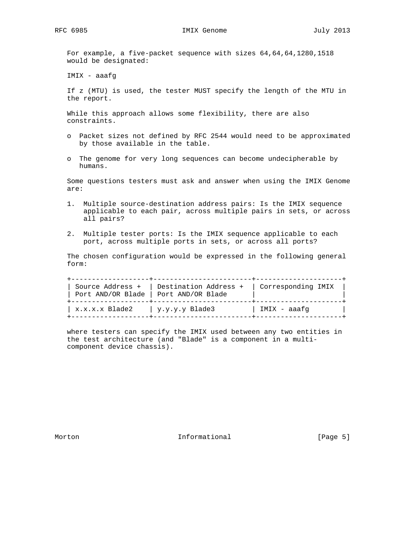For example, a five-packet sequence with sizes 64,64,64,1280,1518 would be designated:

IMIX - aaafg

 If z (MTU) is used, the tester MUST specify the length of the MTU in the report.

 While this approach allows some flexibility, there are also constraints.

- o Packet sizes not defined by RFC 2544 would need to be approximated by those available in the table.
- o The genome for very long sequences can become undecipherable by humans.

 Some questions testers must ask and answer when using the IMIX Genome are:

- 1. Multiple source-destination address pairs: Is the IMIX sequence applicable to each pair, across multiple pairs in sets, or across all pairs?
- 2. Multiple tester ports: Is the IMIX sequence applicable to each port, across multiple ports in sets, or across all ports?

 The chosen configuration would be expressed in the following general form:

| Source Address +<br>Port AND/OR Blade | Destination Address +<br>Port AND/OR Blade | Corresponding IMIX |
|---------------------------------------|--------------------------------------------|--------------------|
| x.x.x.x Blade2                        | y.y.y.y Blade3                             | IMIX - aaafq       |

 where testers can specify the IMIX used between any two entities in the test architecture (and "Blade" is a component in a multi component device chassis).

Morton **Informational Informational** [Page 5]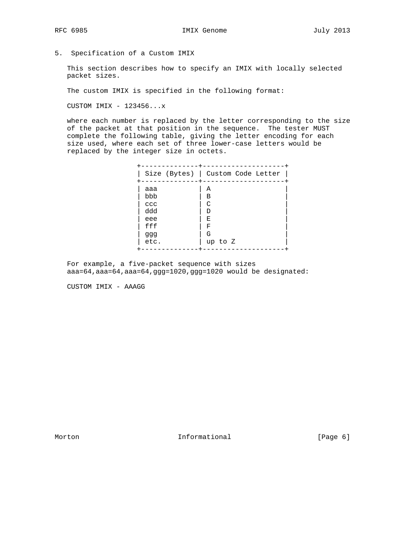5. Specification of a Custom IMIX

 This section describes how to specify an IMIX with locally selected packet sizes.

The custom IMIX is specified in the following format:

CUSTOM IMIX - 123456...x

 where each number is replaced by the letter corresponding to the size of the packet at that position in the sequence. The tester MUST complete the following table, giving the letter encoding for each size used, where each set of three lower-case letters would be replaced by the integer size in octets.

|                                                       | Size (Bytes)   Custom Code Letter          |  |
|-------------------------------------------------------|--------------------------------------------|--|
| aaa<br>bbb<br>ccc<br>ddd<br>eee<br>fff<br>aaa<br>etc. | Α<br>B<br>C<br>D<br>Е<br>F<br>G<br>up to Z |  |

 For example, a five-packet sequence with sizes aaa=64,aaa=64,aaa=64,ggg=1020,ggg=1020 would be designated:

CUSTOM IMIX - AAAGG

Morton **Informational Informational** [Page 6]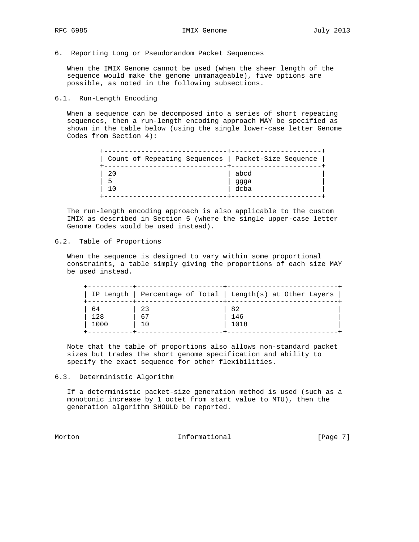6. Reporting Long or Pseudorandom Packet Sequences

 When the IMIX Genome cannot be used (when the sheer length of the sequence would make the genome unmanageable), five options are possible, as noted in the following subsections.

### 6.1. Run-Length Encoding

 When a sequence can be decomposed into a series of short repeating sequences, then a run-length encoding approach MAY be specified as shown in the table below (using the single lower-case letter Genome Codes from Section 4):

| Count of Repeating Sequences   Packet-Size Sequence |              |
|-----------------------------------------------------|--------------|
| 20                                                  | abcd         |
| 1 ∩                                                 | ggga<br>dcba |

 The run-length encoding approach is also applicable to the custom IMIX as described in Section 5 (where the single upper-case letter Genome Codes would be used instead).

## 6.2. Table of Proportions

 When the sequence is designed to vary within some proportional constraints, a table simply giving the proportions of each size MAY be used instead.

|      |     | IP Length   Percentage of Total   Length(s) at Other Layers |
|------|-----|-------------------------------------------------------------|
| 64   | -23 | 82                                                          |
| 128  | 67  | 146                                                         |
| 1000 |     | 1018                                                        |

 Note that the table of proportions also allows non-standard packet sizes but trades the short genome specification and ability to specify the exact sequence for other flexibilities.

### 6.3. Deterministic Algorithm

 If a deterministic packet-size generation method is used (such as a monotonic increase by 1 octet from start value to MTU), then the generation algorithm SHOULD be reported.

Morton **Informational Informational** [Page 7]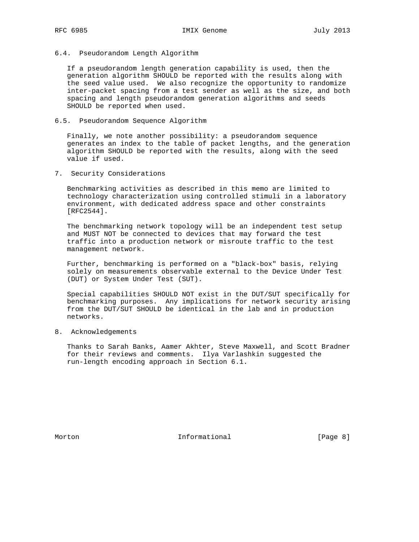6.4. Pseudorandom Length Algorithm

 If a pseudorandom length generation capability is used, then the generation algorithm SHOULD be reported with the results along with the seed value used. We also recognize the opportunity to randomize inter-packet spacing from a test sender as well as the size, and both spacing and length pseudorandom generation algorithms and seeds SHOULD be reported when used.

## 6.5. Pseudorandom Sequence Algorithm

 Finally, we note another possibility: a pseudorandom sequence generates an index to the table of packet lengths, and the generation algorithm SHOULD be reported with the results, along with the seed value if used.

7. Security Considerations

 Benchmarking activities as described in this memo are limited to technology characterization using controlled stimuli in a laboratory environment, with dedicated address space and other constraints [RFC2544].

 The benchmarking network topology will be an independent test setup and MUST NOT be connected to devices that may forward the test traffic into a production network or misroute traffic to the test management network.

 Further, benchmarking is performed on a "black-box" basis, relying solely on measurements observable external to the Device Under Test (DUT) or System Under Test (SUT).

 Special capabilities SHOULD NOT exist in the DUT/SUT specifically for benchmarking purposes. Any implications for network security arising from the DUT/SUT SHOULD be identical in the lab and in production networks.

8. Acknowledgements

 Thanks to Sarah Banks, Aamer Akhter, Steve Maxwell, and Scott Bradner for their reviews and comments. Ilya Varlashkin suggested the run-length encoding approach in Section 6.1.

Morton **Informational Informational** [Page 8]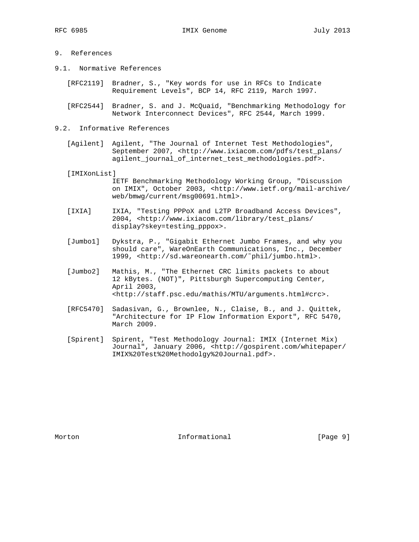# 9. References

- 9.1. Normative References
	- [RFC2119] Bradner, S., "Key words for use in RFCs to Indicate Requirement Levels", BCP 14, RFC 2119, March 1997.
	- [RFC2544] Bradner, S. and J. McQuaid, "Benchmarking Methodology for Network Interconnect Devices", RFC 2544, March 1999.
- 9.2. Informative References
	- [Agilent] Agilent, "The Journal of Internet Test Methodologies", September 2007, <http://www.ixiacom.com/pdfs/test\_plans/ agilent\_journal\_of\_internet\_test\_methodologies.pdf>.

#### [IMIXonList]

- IETF Benchmarking Methodology Working Group, "Discussion on IMIX", October 2003, <http://www.ietf.org/mail-archive/ web/bmwg/current/msg00691.html>.
- [IXIA] IXIA, "Testing PPPoX and L2TP Broadband Access Devices", 2004, <http://www.ixiacom.com/library/test\_plans/ display?skey=testing\_pppox>.
- [Jumbo1] Dykstra, P., "Gigabit Ethernet Jumbo Frames, and why you should care", WareOnEarth Communications, Inc., December 1999, <http://sd.wareonearth.com/˜phil/jumbo.html>.
	- [Jumbo2] Mathis, M., "The Ethernet CRC limits packets to about 12 kBytes. (NOT)", Pittsburgh Supercomputing Center, April 2003, <http://staff.psc.edu/mathis/MTU/arguments.html#crc>.
	- [RFC5470] Sadasivan, G., Brownlee, N., Claise, B., and J. Quittek, "Architecture for IP Flow Information Export", RFC 5470, March 2009.
	- [Spirent] Spirent, "Test Methodology Journal: IMIX (Internet Mix) Journal", January 2006, <http://gospirent.com/whitepaper/ IMIX%20Test%20Methodolgy%20Journal.pdf>.

Morton **Informational Informational** [Page 9]